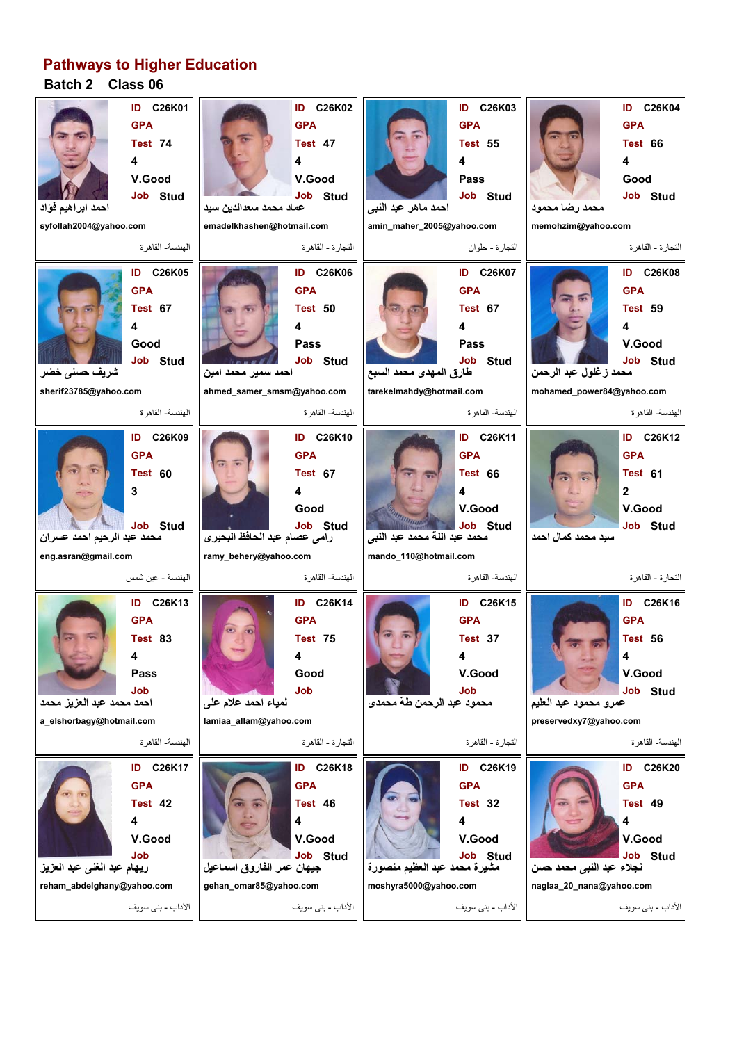## **Batch 2 Class 06 Pathways to Higher Education**